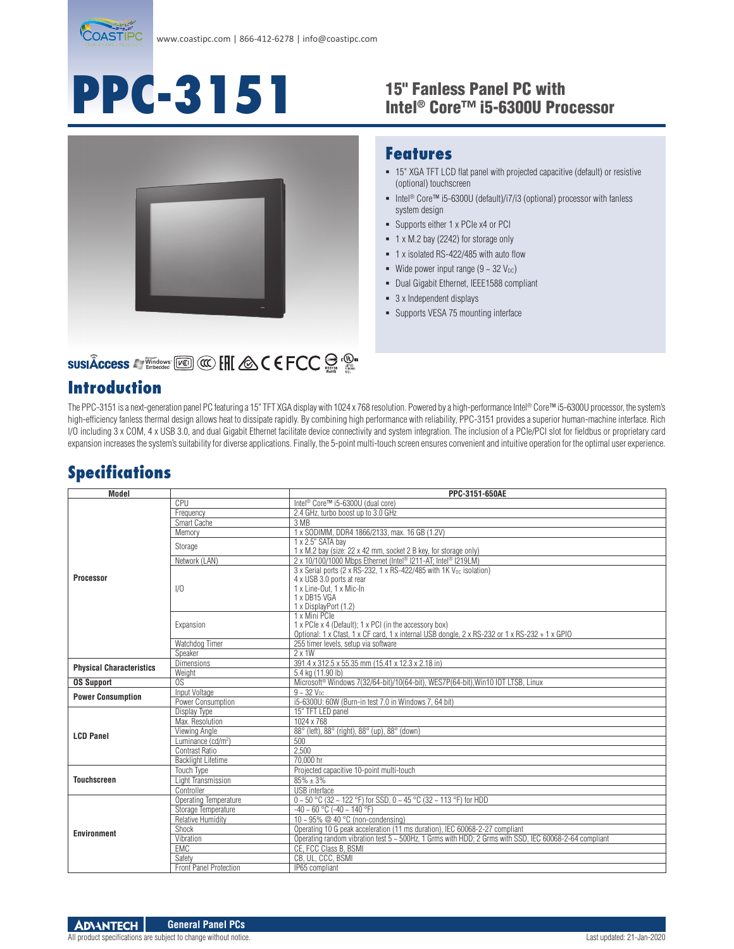

# **PPC-3151**

#### 15" Fanless Panel PC with Intel® Core™ i5-6300U Processor



#### **Features**

- 15" XGA TFT LCD flat panel with projected capacitive (default) or resistive (optional) touchscreen
- Intel<sup>®</sup> Core™ i5-6300U (default)/i7/i3 (optional) processor with fanless system design
- Supports either 1 x PCIe x4 or PCI
- 1 x M.2 bay (2242) for storage only
- 1 x isolated RS-422/485 with auto flow
- Wide power input range  $(9 \sim 32 \text{ V}_{\text{DC}})$
- Dual Gigabit Ethernet, IEEE1588 compliant
- 3 x Independent displays
- Supports VESA 75 mounting interface

## **SUSIÂCCESS A Vindows [KEER] CO. ENC. A C E FCC SOFTLAND**

#### **Introduction**

The PPC-3151 is a next-generation panel PC featuring a 15" TFT XGA display with 1024 x 768 resolution. Powered by a high-performance Intel® Core™ i5-6300U processor, the system's high-efficiency fanless thermal design allows heat to dissipate rapidly. By combining high performance with reliability, PPC-3151 provides a superior human-machine interface. Rich I/O including 3 x COM, 4 x USB 3.0, and dual Gigabit Ethernet facilitate device connectivity and system integration. The inclusion of a PCIe/PCI slot for fieldbus or proprietary card expansion increases the system's suitability for diverse applications. Finally, the 5-point multi-touch screen ensures convenient and intuitive operation for the optimal user experience.

### **Specifications**

| <b>Model</b>                           |                                | PPC-3151-650AE                                                                                                                                                                    |
|----------------------------------------|--------------------------------|-----------------------------------------------------------------------------------------------------------------------------------------------------------------------------------|
| Processor                              | CPU                            | Intel <sup>®</sup> Core™ i5-6300U (dual core)                                                                                                                                     |
|                                        | Frequency                      | 2.4 GHz, turbo boost up to 3.0 GHz                                                                                                                                                |
|                                        | Smart Cache                    | 3 MB                                                                                                                                                                              |
|                                        | Memory                         | 1 x SODIMM, DDR4 1866/2133, max. 16 GB (1.2V)                                                                                                                                     |
|                                        | Storage                        | 1 x 2.5" SATA bay<br>1 x M.2 bay (size: 22 x 42 mm, socket 2 B key, for storage only)                                                                                             |
|                                        | Network (LAN)                  | 2 x 10/100/1000 Mbps Ethernet (Intel® I211-AT; Intel® I219LM)                                                                                                                     |
|                                        | 1/0                            | 3 x Serial ports (2 x RS-232, 1 x RS-422/485 with 1K V <sub>pc</sub> isolation)<br>4 x USB 3.0 ports at rear<br>1 x Line-Out. 1 x Mic-In<br>1 x DB15 VGA<br>1 x DisplayPort (1.2) |
|                                        | Expansion                      | 1 x Mini PCIe<br>1 x PCIe x 4 (Default); 1 x PCI (in the accessory box)<br>Optional: 1 x Cfast, 1 x CF card, 1 x internal USB dongle, 2 x RS-232 or 1 x RS-232 + 1 x GPIO         |
|                                        | Watchdog Timer                 | 255 timer levels, setup via software                                                                                                                                              |
|                                        | Speaker                        | $2 \times 1W$                                                                                                                                                                     |
| <b>Physical Characteristics</b>        | <b>Dimensions</b>              | 391.4 x 312.5 x 55.35 mm (15.41 x 12.3 x 2.18 in)                                                                                                                                 |
|                                        | Weight                         | 5.4 kg (11.90 lb)                                                                                                                                                                 |
| <b>OS Support</b>                      | $\overline{OS}$                | Microsoft <sup>®</sup> Windows 7(32/64-bit)/10(64-bit), WES7P(64-bit), Win10 IOT LTSB, Linux                                                                                      |
| <b>Power Consumption</b>               | Input Voltage                  | $9 - 32$ V <sub>pc</sub>                                                                                                                                                          |
|                                        | Power Consumption              | i5-6300U: 60W (Burn-in test 7.0 in Windows 7, 64 bit)                                                                                                                             |
|                                        | Display Type                   | 15" TFT LED panel                                                                                                                                                                 |
|                                        | Max. Resolution                | 1024 x 768                                                                                                                                                                        |
| <b>LCD Panel</b><br><b>Touchscreen</b> | Viewing Angle                  | 88° (left), 88° (right), 88° (up), 88° (down)                                                                                                                                     |
|                                        | Luminance (cd/m <sup>2</sup> ) | 500                                                                                                                                                                               |
|                                        | Contrast Ratio                 | 2.500                                                                                                                                                                             |
|                                        | <b>Backlight Lifetime</b>      | 70,000 hr                                                                                                                                                                         |
|                                        | <b>Touch Type</b>              | Projected capacitive 10-point multi-touch                                                                                                                                         |
|                                        | <b>Light Transmission</b>      | $85\% \pm 3\%$                                                                                                                                                                    |
|                                        | Controller                     | <b>USB</b> interface                                                                                                                                                              |
| <b>Environment</b>                     | Operating Temperature          | $0 \sim 50$ °C (32 ~ 122 °F) for SSD, $0 \sim 45$ °C (32 ~ 113 °F) for HDD                                                                                                        |
|                                        | Storage Temperature            | $-40 \sim 60$ °C ( $-40 \sim 140$ °F)                                                                                                                                             |
|                                        | <b>Relative Humidity</b>       | 10 ~ 95% $@$ 40 °C (non-condensing)                                                                                                                                               |
|                                        | Shock                          | Operating 10 G peak acceleration (11 ms duration), IEC 60068-2-27 compliant                                                                                                       |
|                                        | Vibration<br><b>EMC</b>        | Operating random vibration test 5 ~ 500Hz, 1 Grms with HDD; 2 Grms with SSD, IEC 60068-2-64 compliant<br>CE. FCC Class B. BSMI                                                    |
|                                        | Safety                         | CB. UL. CCC. BSMI                                                                                                                                                                 |
|                                        | <b>Front Panel Protection</b>  | IP65 compliant                                                                                                                                                                    |
|                                        |                                |                                                                                                                                                                                   |